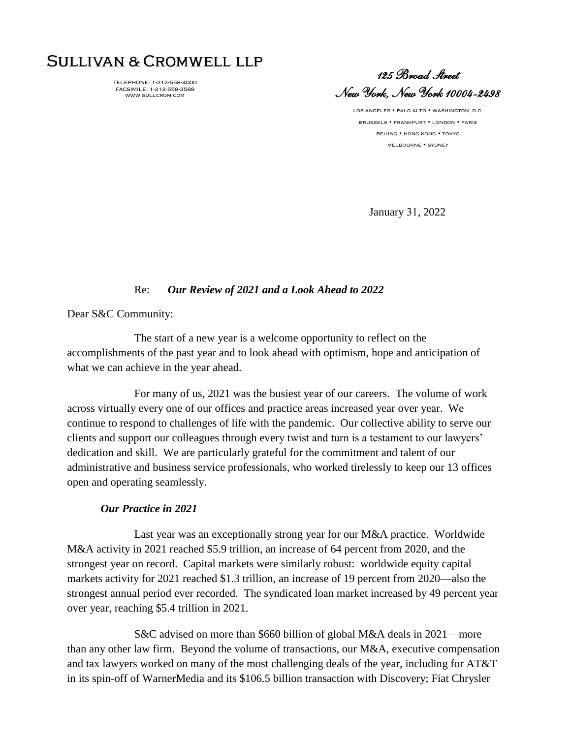# SULLIVAN & CROMWELL LLP

TELEPHONE: 1-212-558-4000 FACSIMILE: 1-212-558-3588 WWW.SULLCROM.COM

*125 Broad Street New York, New York 10004-2498* 

 $\sim$ 

LOS ANGELES • PALO ALTO • WASHINGTON, D.C. BRUSSELS • FRANKFURT • LONDON • PARIS BEIJING • HONG KONG • TOKYO MELBOURNE • SYDNEY

January 31, 2022

## Re: *Our Review of 2021 and a Look Ahead to 2022*

Dear S&C Community:

The start of a new year is a welcome opportunity to reflect on the accomplishments of the past year and to look ahead with optimism, hope and anticipation of what we can achieve in the year ahead.

For many of us, 2021 was the busiest year of our careers. The volume of work across virtually every one of our offices and practice areas increased year over year. We continue to respond to challenges of life with the pandemic. Our collective ability to serve our clients and support our colleagues through every twist and turn is a testament to our lawyers' dedication and skill. We are particularly grateful for the commitment and talent of our administrative and business service professionals, who worked tirelessly to keep our 13 offices open and operating seamlessly.

## *Our Practice in 2021*

Last year was an exceptionally strong year for our M&A practice. Worldwide M&A activity in 2021 reached \$5.9 trillion, an increase of 64 percent from 2020, and the strongest year on record. Capital markets were similarly robust: worldwide equity capital markets activity for 2021 reached \$1.3 trillion, an increase of 19 percent from 2020—also the strongest annual period ever recorded. The syndicated loan market increased by 49 percent year over year, reaching \$5.4 trillion in 2021.

S&C advised on more than \$660 billion of global M&A deals in 2021—more than any other law firm. Beyond the volume of transactions, our M&A, executive compensation and tax lawyers worked on many of the most challenging deals of the year, including for AT&T in its spin-off of WarnerMedia and its \$106.5 billion transaction with Discovery; Fiat Chrysler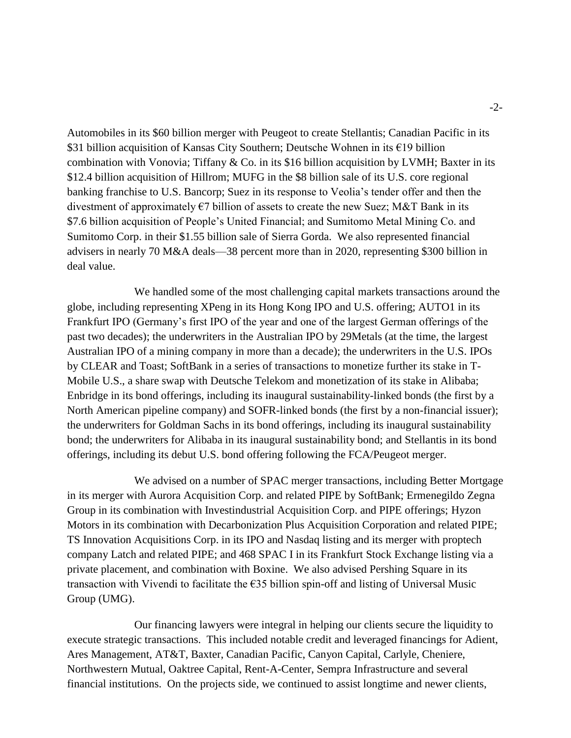Automobiles in its \$60 billion merger with Peugeot to create Stellantis; Canadian Pacific in its \$31 billion acquisition of Kansas City Southern; Deutsche Wohnen in its €19 billion combination with Vonovia; Tiffany & Co. in its \$16 billion acquisition by LVMH; Baxter in its \$12.4 billion acquisition of Hillrom; MUFG in the \$8 billion sale of its U.S. core regional banking franchise to U.S. Bancorp; Suez in its response to Veolia's tender offer and then the divestment of approximately  $\epsilon$ 7 billion of assets to create the new Suez; M&T Bank in its \$7.6 billion acquisition of People's United Financial; and Sumitomo Metal Mining Co. and Sumitomo Corp. in their \$1.55 billion sale of Sierra Gorda. We also represented financial advisers in nearly 70 M&A deals—38 percent more than in 2020, representing \$300 billion in deal value.

We handled some of the most challenging capital markets transactions around the globe, including representing XPeng in its Hong Kong IPO and U.S. offering; AUTO1 in its Frankfurt IPO (Germany's first IPO of the year and one of the largest German offerings of the past two decades); the underwriters in the Australian IPO by 29Metals (at the time, the largest Australian IPO of a mining company in more than a decade); the underwriters in the U.S. IPOs by CLEAR and Toast; SoftBank in a series of transactions to monetize further its stake in T-Mobile U.S., a share swap with Deutsche Telekom and monetization of its stake in Alibaba; Enbridge in its bond offerings, including its inaugural sustainability-linked bonds (the first by a North American pipeline company) and SOFR-linked bonds (the first by a non-financial issuer); the underwriters for Goldman Sachs in its bond offerings, including its inaugural sustainability bond; the underwriters for Alibaba in its inaugural sustainability bond; and Stellantis in its bond offerings, including its debut U.S. bond offering following the FCA/Peugeot merger.

We advised on a number of SPAC merger transactions, including Better Mortgage in its merger with Aurora Acquisition Corp. and related PIPE by SoftBank; Ermenegildo Zegna Group in its combination with Investindustrial Acquisition Corp. and PIPE offerings; Hyzon Motors in its combination with Decarbonization Plus Acquisition Corporation and related PIPE; TS Innovation Acquisitions Corp. in its IPO and Nasdaq listing and its merger with proptech company Latch and related PIPE; and 468 SPAC I in its Frankfurt Stock Exchange listing via a private placement, and combination with Boxine. We also advised Pershing Square in its transaction with Vivendi to facilitate the €35 billion spin-off and listing of Universal Music Group (UMG).

Our financing lawyers were integral in helping our clients secure the liquidity to execute strategic transactions. This included notable credit and leveraged financings for Adient, Ares Management, AT&T, Baxter, Canadian Pacific, Canyon Capital, Carlyle, Cheniere, Northwestern Mutual, Oaktree Capital, Rent-A-Center, Sempra Infrastructure and several financial institutions. On the projects side, we continued to assist longtime and newer clients,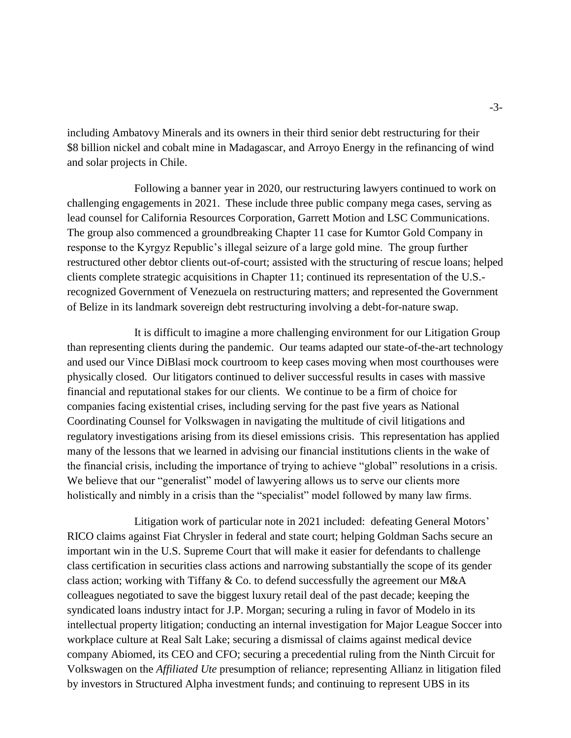including Ambatovy Minerals and its owners in their third senior debt restructuring for their \$8 billion nickel and cobalt mine in Madagascar, and Arroyo Energy in the refinancing of wind and solar projects in Chile.

Following a banner year in 2020, our restructuring lawyers continued to work on challenging engagements in 2021. These include three public company mega cases, serving as lead counsel for California Resources Corporation, Garrett Motion and LSC Communications. The group also commenced a groundbreaking Chapter 11 case for Kumtor Gold Company in response to the Kyrgyz Republic's illegal seizure of a large gold mine. The group further restructured other debtor clients out-of-court; assisted with the structuring of rescue loans; helped clients complete strategic acquisitions in Chapter 11; continued its representation of the U.S. recognized Government of Venezuela on restructuring matters; and represented the Government of Belize in its landmark sovereign debt restructuring involving a debt-for-nature swap.

It is difficult to imagine a more challenging environment for our Litigation Group than representing clients during the pandemic. Our teams adapted our state-of-the-art technology and used our Vince DiBlasi mock courtroom to keep cases moving when most courthouses were physically closed. Our litigators continued to deliver successful results in cases with massive financial and reputational stakes for our clients. We continue to be a firm of choice for companies facing existential crises, including serving for the past five years as National Coordinating Counsel for Volkswagen in navigating the multitude of civil litigations and regulatory investigations arising from its diesel emissions crisis. This representation has applied many of the lessons that we learned in advising our financial institutions clients in the wake of the financial crisis, including the importance of trying to achieve "global" resolutions in a crisis. We believe that our "generalist" model of lawyering allows us to serve our clients more holistically and nimbly in a crisis than the "specialist" model followed by many law firms.

Litigation work of particular note in 2021 included: defeating General Motors' RICO claims against Fiat Chrysler in federal and state court; helping Goldman Sachs secure an important win in the U.S. Supreme Court that will make it easier for defendants to challenge class certification in securities class actions and narrowing substantially the scope of its gender class action; working with Tiffany  $&$  Co. to defend successfully the agreement our M $&A$ colleagues negotiated to save the biggest luxury retail deal of the past decade; keeping the syndicated loans industry intact for J.P. Morgan; securing a ruling in favor of Modelo in its intellectual property litigation; conducting an internal investigation for Major League Soccer into workplace culture at Real Salt Lake; securing a dismissal of claims against medical device company Abiomed, its CEO and CFO; securing a precedential ruling from the Ninth Circuit for Volkswagen on the *Affiliated Ute* presumption of reliance; representing Allianz in litigation filed by investors in Structured Alpha investment funds; and continuing to represent UBS in its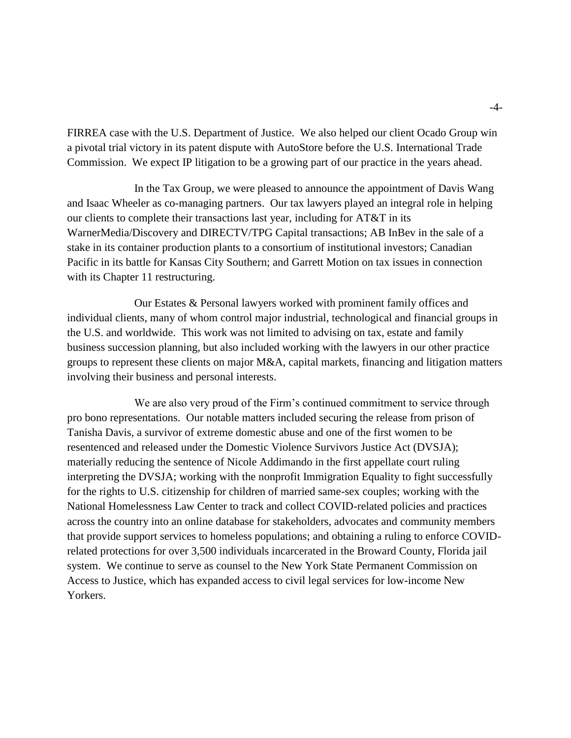FIRREA case with the U.S. Department of Justice. We also helped our client Ocado Group win a pivotal trial victory in its patent dispute with AutoStore before the U.S. International Trade Commission. We expect IP litigation to be a growing part of our practice in the years ahead.

In the Tax Group, we were pleased to announce the appointment of Davis Wang and Isaac Wheeler as co-managing partners. Our tax lawyers played an integral role in helping our clients to complete their transactions last year, including for AT&T in its WarnerMedia/Discovery and DIRECTV/TPG Capital transactions; AB InBev in the sale of a stake in its container production plants to a consortium of institutional investors; Canadian Pacific in its battle for Kansas City Southern; and Garrett Motion on tax issues in connection with its Chapter 11 restructuring.

Our Estates & Personal lawyers worked with prominent family offices and individual clients, many of whom control major industrial, technological and financial groups in the U.S. and worldwide. This work was not limited to advising on tax, estate and family business succession planning, but also included working with the lawyers in our other practice groups to represent these clients on major M&A, capital markets, financing and litigation matters involving their business and personal interests.

We are also very proud of the Firm's continued commitment to service through pro bono representations. Our notable matters included securing the release from prison of Tanisha Davis, a survivor of extreme domestic abuse and one of the first women to be resentenced and released under the Domestic Violence Survivors Justice Act (DVSJA); materially reducing the sentence of Nicole Addimando in the first appellate court ruling interpreting the DVSJA; working with the nonprofit Immigration Equality to fight successfully for the rights to U.S. citizenship for children of married same-sex couples; working with the National Homelessness Law Center to track and collect COVID-related policies and practices across the country into an online database for stakeholders, advocates and community members that provide support services to homeless populations; and obtaining a ruling to enforce COVIDrelated protections for over 3,500 individuals incarcerated in the Broward County, Florida jail system. We continue to serve as counsel to the New York State Permanent Commission on Access to Justice, which has expanded access to civil legal services for low-income New Yorkers.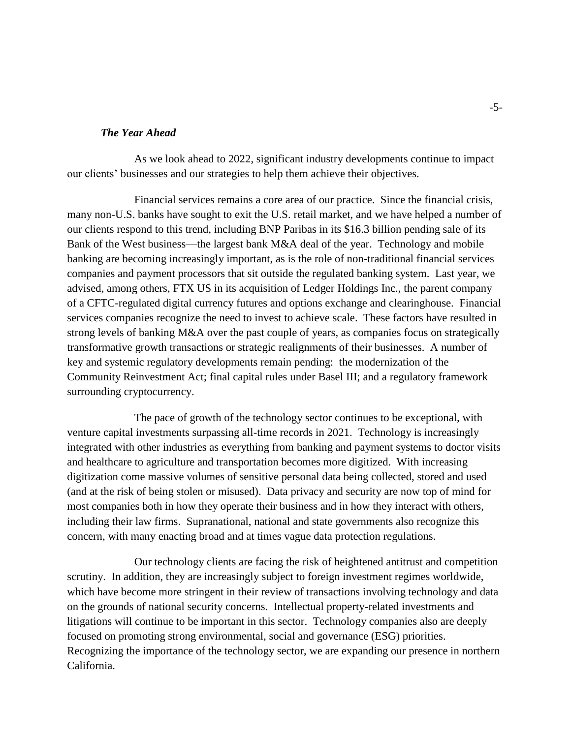#### *The Year Ahead*

As we look ahead to 2022, significant industry developments continue to impact our clients' businesses and our strategies to help them achieve their objectives.

Financial services remains a core area of our practice. Since the financial crisis, many non-U.S. banks have sought to exit the U.S. retail market, and we have helped a number of our clients respond to this trend, including BNP Paribas in its \$16.3 billion pending sale of its Bank of the West business—the largest bank M&A deal of the year. Technology and mobile banking are becoming increasingly important, as is the role of non-traditional financial services companies and payment processors that sit outside the regulated banking system. Last year, we advised, among others, FTX US in its acquisition of Ledger Holdings Inc., the parent company of a CFTC-regulated digital currency futures and options exchange and clearinghouse. Financial services companies recognize the need to invest to achieve scale. These factors have resulted in strong levels of banking M&A over the past couple of years, as companies focus on strategically transformative growth transactions or strategic realignments of their businesses. A number of key and systemic regulatory developments remain pending: the modernization of the Community Reinvestment Act; final capital rules under Basel III; and a regulatory framework surrounding cryptocurrency.

The pace of growth of the technology sector continues to be exceptional, with venture capital investments surpassing all-time records in 2021. Technology is increasingly integrated with other industries as everything from banking and payment systems to doctor visits and healthcare to agriculture and transportation becomes more digitized. With increasing digitization come massive volumes of sensitive personal data being collected, stored and used (and at the risk of being stolen or misused). Data privacy and security are now top of mind for most companies both in how they operate their business and in how they interact with others, including their law firms. Supranational, national and state governments also recognize this concern, with many enacting broad and at times vague data protection regulations.

Our technology clients are facing the risk of heightened antitrust and competition scrutiny. In addition, they are increasingly subject to foreign investment regimes worldwide, which have become more stringent in their review of transactions involving technology and data on the grounds of national security concerns. Intellectual property-related investments and litigations will continue to be important in this sector. Technology companies also are deeply focused on promoting strong environmental, social and governance (ESG) priorities. Recognizing the importance of the technology sector, we are expanding our presence in northern California.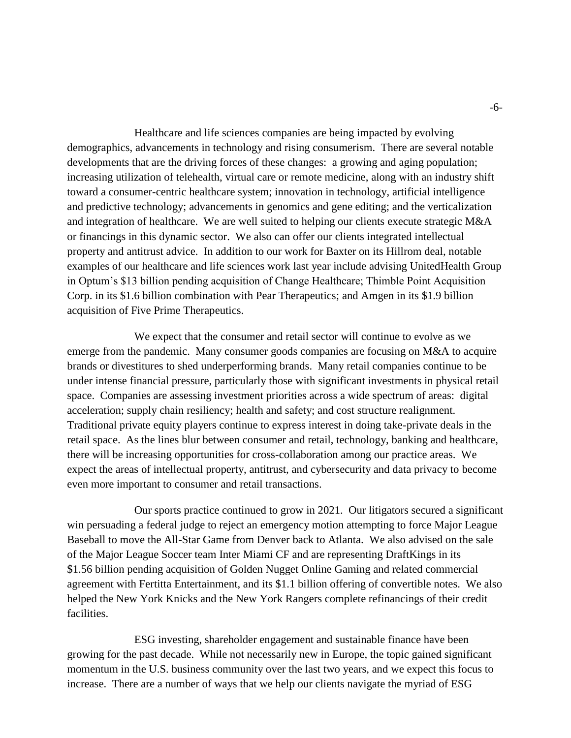Healthcare and life sciences companies are being impacted by evolving demographics, advancements in technology and rising consumerism. There are several notable developments that are the driving forces of these changes: a growing and aging population; increasing utilization of telehealth, virtual care or remote medicine, along with an industry shift toward a consumer-centric healthcare system; innovation in technology, artificial intelligence and predictive technology; advancements in genomics and gene editing; and the verticalization and integration of healthcare. We are well suited to helping our clients execute strategic M&A or financings in this dynamic sector. We also can offer our clients integrated intellectual property and antitrust advice. In addition to our work for Baxter on its Hillrom deal, notable examples of our healthcare and life sciences work last year include advising UnitedHealth Group in Optum's \$13 billion pending acquisition of Change Healthcare; Thimble Point Acquisition Corp. in its \$1.6 billion combination with Pear Therapeutics; and Amgen in its \$1.9 billion acquisition of Five Prime Therapeutics.

We expect that the consumer and retail sector will continue to evolve as we emerge from the pandemic. Many consumer goods companies are focusing on M&A to acquire brands or divestitures to shed underperforming brands. Many retail companies continue to be under intense financial pressure, particularly those with significant investments in physical retail space. Companies are assessing investment priorities across a wide spectrum of areas: digital acceleration; supply chain resiliency; health and safety; and cost structure realignment. Traditional private equity players continue to express interest in doing take-private deals in the retail space. As the lines blur between consumer and retail, technology, banking and healthcare, there will be increasing opportunities for cross-collaboration among our practice areas. We expect the areas of intellectual property, antitrust, and cybersecurity and data privacy to become even more important to consumer and retail transactions.

Our sports practice continued to grow in 2021. Our litigators secured a significant win persuading a federal judge to reject an emergency motion attempting to force Major League Baseball to move the All-Star Game from Denver back to Atlanta. We also advised on the sale of the Major League Soccer team Inter Miami CF and are representing DraftKings in its \$1.56 billion pending acquisition of Golden Nugget Online Gaming and related commercial agreement with Fertitta Entertainment, and its \$1.1 billion offering of convertible notes. We also helped the New York Knicks and the New York Rangers complete refinancings of their credit facilities.

ESG investing, shareholder engagement and sustainable finance have been growing for the past decade. While not necessarily new in Europe, the topic gained significant momentum in the U.S. business community over the last two years, and we expect this focus to increase. There are a number of ways that we help our clients navigate the myriad of ESG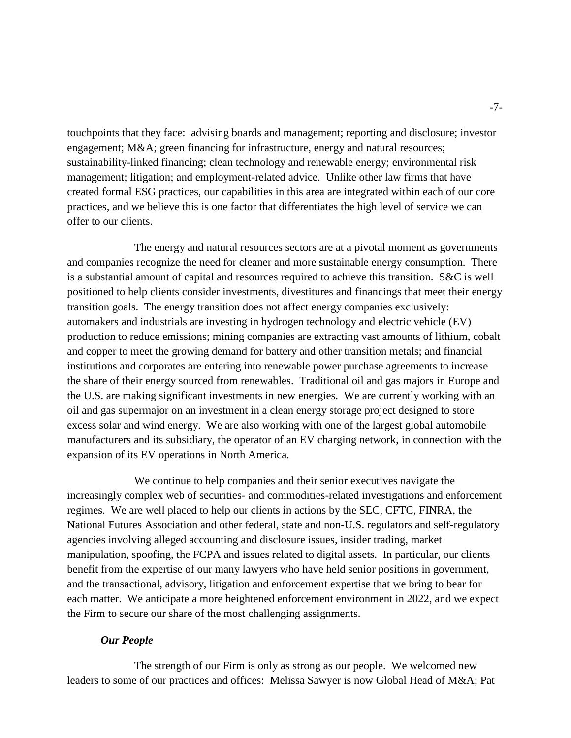touchpoints that they face: advising boards and management; reporting and disclosure; investor engagement; M&A; green financing for infrastructure, energy and natural resources; sustainability-linked financing; clean technology and renewable energy; environmental risk management; litigation; and employment-related advice. Unlike other law firms that have created formal ESG practices, our capabilities in this area are integrated within each of our core practices, and we believe this is one factor that differentiates the high level of service we can offer to our clients.

The energy and natural resources sectors are at a pivotal moment as governments and companies recognize the need for cleaner and more sustainable energy consumption. There is a substantial amount of capital and resources required to achieve this transition. S&C is well positioned to help clients consider investments, divestitures and financings that meet their energy transition goals. The energy transition does not affect energy companies exclusively: automakers and industrials are investing in hydrogen technology and electric vehicle (EV) production to reduce emissions; mining companies are extracting vast amounts of lithium, cobalt and copper to meet the growing demand for battery and other transition metals; and financial institutions and corporates are entering into renewable power purchase agreements to increase the share of their energy sourced from renewables. Traditional oil and gas majors in Europe and the U.S. are making significant investments in new energies. We are currently working with an oil and gas supermajor on an investment in a clean energy storage project designed to store excess solar and wind energy. We are also working with one of the largest global automobile manufacturers and its subsidiary, the operator of an EV charging network, in connection with the expansion of its EV operations in North America.

We continue to help companies and their senior executives navigate the increasingly complex web of securities- and commodities-related investigations and enforcement regimes. We are well placed to help our clients in actions by the SEC, CFTC, FINRA, the National Futures Association and other federal, state and non-U.S. regulators and self-regulatory agencies involving alleged accounting and disclosure issues, insider trading, market manipulation, spoofing, the FCPA and issues related to digital assets. In particular, our clients benefit from the expertise of our many lawyers who have held senior positions in government, and the transactional, advisory, litigation and enforcement expertise that we bring to bear for each matter. We anticipate a more heightened enforcement environment in 2022, and we expect the Firm to secure our share of the most challenging assignments.

#### *Our People*

The strength of our Firm is only as strong as our people. We welcomed new leaders to some of our practices and offices: Melissa Sawyer is now Global Head of M&A; Pat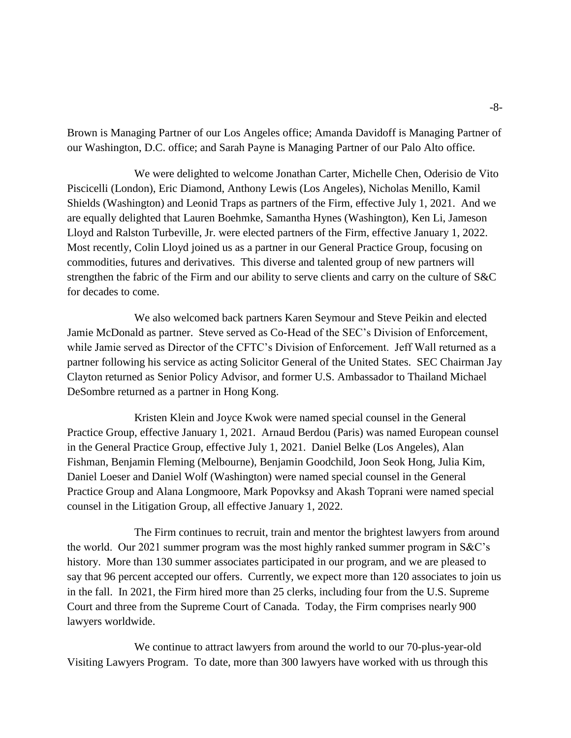Brown is Managing Partner of our Los Angeles office; Amanda Davidoff is Managing Partner of our Washington, D.C. office; and Sarah Payne is Managing Partner of our Palo Alto office.

We were delighted to welcome Jonathan Carter, Michelle Chen, Oderisio de Vito Piscicelli (London), Eric Diamond, Anthony Lewis (Los Angeles), Nicholas Menillo, Kamil Shields (Washington) and Leonid Traps as partners of the Firm, effective July 1, 2021. And we are equally delighted that Lauren Boehmke, Samantha Hynes (Washington), Ken Li, Jameson Lloyd and Ralston Turbeville, Jr. were elected partners of the Firm, effective January 1, 2022. Most recently, Colin Lloyd joined us as a partner in our General Practice Group, focusing on commodities, futures and derivatives. This diverse and talented group of new partners will strengthen the fabric of the Firm and our ability to serve clients and carry on the culture of S&C for decades to come.

We also welcomed back partners Karen Seymour and Steve Peikin and elected Jamie McDonald as partner. Steve served as Co-Head of the SEC's Division of Enforcement, while Jamie served as Director of the CFTC's Division of Enforcement. Jeff Wall returned as a partner following his service as acting Solicitor General of the United States. SEC Chairman Jay Clayton returned as Senior Policy Advisor, and former U.S. Ambassador to Thailand Michael DeSombre returned as a partner in Hong Kong.

Kristen Klein and Joyce Kwok were named special counsel in the General Practice Group, effective January 1, 2021. Arnaud Berdou (Paris) was named European counsel in the General Practice Group, effective July 1, 2021. Daniel Belke (Los Angeles), Alan Fishman, Benjamin Fleming (Melbourne), Benjamin Goodchild, Joon Seok Hong, Julia Kim, Daniel Loeser and Daniel Wolf (Washington) were named special counsel in the General Practice Group and Alana Longmoore, Mark Popovksy and Akash Toprani were named special counsel in the Litigation Group, all effective January 1, 2022.

The Firm continues to recruit, train and mentor the brightest lawyers from around the world. Our 2021 summer program was the most highly ranked summer program in S&C's history. More than 130 summer associates participated in our program, and we are pleased to say that 96 percent accepted our offers. Currently, we expect more than 120 associates to join us in the fall. In 2021, the Firm hired more than 25 clerks, including four from the U.S. Supreme Court and three from the Supreme Court of Canada. Today, the Firm comprises nearly 900 lawyers worldwide.

We continue to attract lawyers from around the world to our 70-plus-year-old Visiting Lawyers Program. To date, more than 300 lawyers have worked with us through this